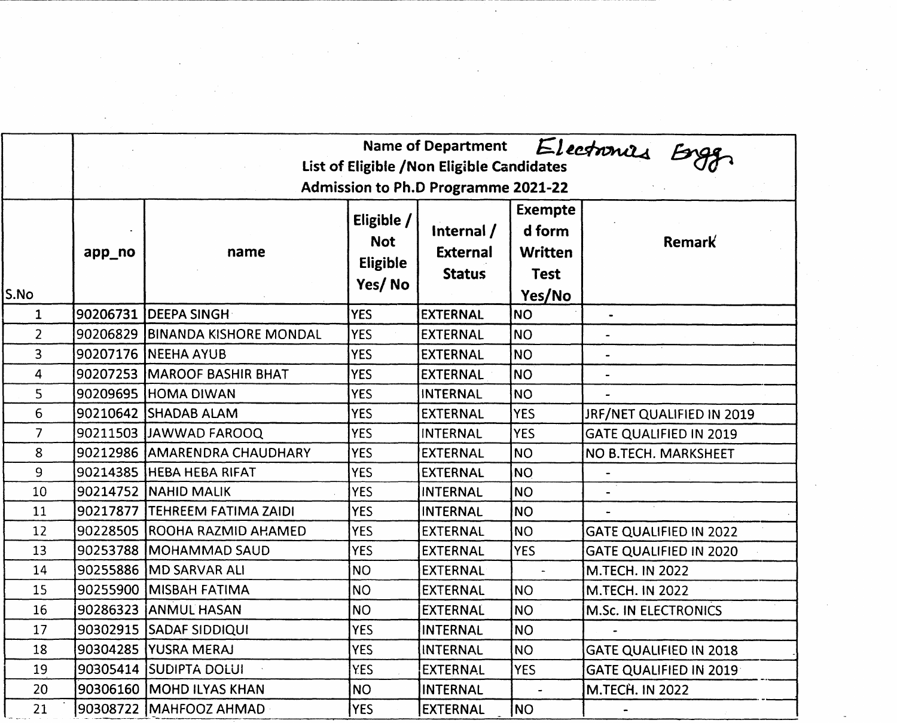|                |        | Electronies Enge<br><b>Name of Department</b><br>List of Eligible / Non Eligible Candidates<br>Admission to Ph.D Programme 2021-22 |                                                  |                                                |                                                                     |                               |  |  |  |
|----------------|--------|------------------------------------------------------------------------------------------------------------------------------------|--------------------------------------------------|------------------------------------------------|---------------------------------------------------------------------|-------------------------------|--|--|--|
| S.No           | app_no | name                                                                                                                               | Eligible $/$<br><b>Not</b><br>Eligible<br>Yes/No | Internal /<br><b>External</b><br><b>Status</b> | <b>Exempte</b><br>d form<br><b>Written</b><br><b>Test</b><br>Yes/No | Remark                        |  |  |  |
| $\mathbf{1}$   |        | 90206731 DEEPA SINGH                                                                                                               | <b>YES</b>                                       | <b>EXTERNAL</b>                                | <b>NO</b>                                                           | $\blacksquare$                |  |  |  |
| $\overline{2}$ |        | 90206829 BINANDA KISHORE MONDAL                                                                                                    | <b>YES</b>                                       | <b>EXTERNAL</b>                                | NO.                                                                 | $\hat{\phantom{a}}$           |  |  |  |
| 3              |        | 90207176 NEEHA AYUB                                                                                                                | <b>YES</b>                                       | EXTERNAL                                       | <b>NO</b>                                                           |                               |  |  |  |
| 4              |        | 90207253 MAROOF BASHIR BHAT                                                                                                        | <b>YES</b>                                       | <b>EXTERNAL</b>                                | <b>NO</b>                                                           |                               |  |  |  |
| 5              |        | 90209695 HOMA DIWAN                                                                                                                | <b>YES</b>                                       | <b>INTERNAL</b>                                | <b>NO</b>                                                           |                               |  |  |  |
| 6              |        | 90210642 SHADAB ALAM                                                                                                               | <b>YES</b>                                       | <b>EXTERNAL</b>                                | <b>YES</b>                                                          | JRF/NET QUALIFIED IN 2019     |  |  |  |
| $\overline{7}$ |        | 90211503 JAWWAD FAROOQ                                                                                                             | <b>YES</b>                                       | <b>INTERNAL</b>                                | <b>YES</b>                                                          | <b>GATE QUALIFIED IN 2019</b> |  |  |  |
| 8              |        | 90212986 AMARENDRA CHAUDHARY                                                                                                       | <b>YES</b>                                       | <b>EXTERNAL</b>                                | <b>NO</b>                                                           | NO B.TECH. MARKSHEET          |  |  |  |
| 9              |        | 90214385 HEBA HEBA RIFAT                                                                                                           | <b>YES</b>                                       | <b>EXTERNAL</b>                                | <b>NO</b>                                                           |                               |  |  |  |
| 10             |        | 90214752 NAHID MALIK                                                                                                               | <b>YES</b>                                       | <b>INTERNAL</b>                                | INO                                                                 |                               |  |  |  |
| 11             |        | 90217877 TEHREEM FATIMA ZAIDI                                                                                                      | <b>YES</b>                                       | <b>INTERNAL</b>                                | <b>NO</b>                                                           |                               |  |  |  |
| 12             |        | 90228505 ROOHA RAZMID AHAMED                                                                                                       | <b>YES</b>                                       | <b>EXTERNAL</b>                                | INO.                                                                | <b>GATE QUALIFIED IN 2022</b> |  |  |  |
| 13             |        | 90253788 MOHAMMAD SAUD                                                                                                             | <b>YES</b>                                       | <b>EXTERNAL</b>                                | <b>YES</b>                                                          | <b>GATE QUALIFIED IN 2020</b> |  |  |  |
| 14             |        | 90255886 IMD SARVAR ALI                                                                                                            | <b>NO</b>                                        | <b>EXTERNAL</b>                                |                                                                     | <b>M.TECH. IN 2022</b>        |  |  |  |
| 15             |        | 90255900 MISBAH FATIMA                                                                                                             | N <sub>O</sub>                                   | <b>EXTERNAL</b>                                | <b>NO</b>                                                           | <b>M.TECH. IN 2022</b>        |  |  |  |
| 16             |        | 90286323 JANMUL HASAN                                                                                                              | NO.                                              | <b>EXTERNAL</b>                                | <b>NO</b>                                                           | M.Sc. IN ELECTRONICS          |  |  |  |
| 17             |        | 90302915 SADAF SIDDIQUI                                                                                                            | YES                                              | <b>INTERNAL</b>                                | <b>NO</b>                                                           |                               |  |  |  |
| 18             |        | 90304285 YUSRA MERAJ                                                                                                               | <b>YES</b>                                       | INTERNAL                                       | <b>NO</b>                                                           | <b>GATE QUALIFIED IN 2018</b> |  |  |  |
| 19             |        | 90305414 SUDIPTA DOLUI                                                                                                             | <b>YES</b>                                       | EXTERNAL                                       | <b>YES</b>                                                          | <b>GATE QUALIFIED IN 2019</b> |  |  |  |
| 20             |        | 90306160 MOHD ILYAS KHAN                                                                                                           | N <sub>O</sub>                                   | INTERNAL                                       |                                                                     | <b>M.TECH. IN 2022</b>        |  |  |  |
| 21             |        | 90308722 MAHFOOZ AHMAD                                                                                                             | <b>YES</b>                                       | EXTERNAL                                       | <b>NO</b>                                                           |                               |  |  |  |

 $\sim 10^{-11}$